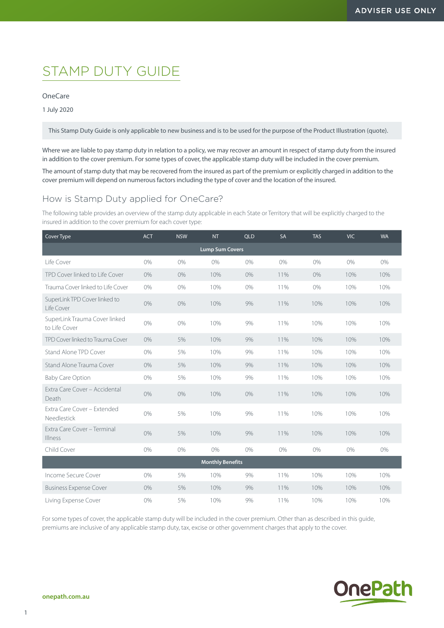# STAMP DUTY GUIDE

### OneCare

1 July 2020

This Stamp Duty Guide is only applicable to new business and is to be used for the purpose of the Product Illustration (quote).

Where we are liable to pay stamp duty in relation to a policy, we may recover an amount in respect of stamp duty from the insured in addition to the cover premium. For some types of cover, the applicable stamp duty will be included in the cover premium.

The amount of stamp duty that may be recovered from the insured as part of the premium or explicitly charged in addition to the cover premium will depend on numerous factors including the type of cover and the location of the insured.

## How is Stamp Duty applied for OneCare?

The following table provides an overview of the stamp duty applicable in each State or Territory that will be explicitly charged to the insured in addition to the cover premium for each cover type:

| Cover Type                                     | <b>ACT</b> | <b>NSW</b> | <b>NT</b> | <b>QLD</b> | SA  | <b>TAS</b> | <b>VIC</b> | <b>WA</b> |  |  |
|------------------------------------------------|------------|------------|-----------|------------|-----|------------|------------|-----------|--|--|
| <b>Lump Sum Covers</b>                         |            |            |           |            |     |            |            |           |  |  |
| Life Cover                                     | 0%         | 0%         | 0%        | 0%         | 0%  | 0%         | 0%         | 0%        |  |  |
| TPD Cover linked to Life Cover                 | 0%         | 0%         | 10%       | 0%         | 11% | 0%         | 10%        | 10%       |  |  |
| Trauma Cover linked to Life Cover              | 0%         | 0%         | 10%       | 0%         | 11% | 0%         | 10%        | 10%       |  |  |
| SuperLink TPD Cover linked to<br>I ife Cover   | 0%         | 0%         | 10%       | 9%         | 11% | 10%        | 10%        | 10%       |  |  |
| SuperLink Trauma Cover linked<br>to Life Cover | 0%         | 0%         | 10%       | 9%         | 11% | 10%        | 10%        | 10%       |  |  |
| TPD Cover linked to Trauma Cover               | 0%         | 5%         | 10%       | 9%         | 11% | 10%        | 10%        | 10%       |  |  |
| Stand Alone TPD Cover                          | 0%         | 5%         | 10%       | 9%         | 11% | 10%        | 10%        | 10%       |  |  |
| Stand Alone Trauma Cover                       | 0%         | 5%         | 10%       | 9%         | 11% | 10%        | 10%        | 10%       |  |  |
| <b>Baby Care Option</b>                        | 0%         | 5%         | 10%       | 9%         | 11% | 10%        | 10%        | 10%       |  |  |
| Extra Care Cover - Accidental<br>Death         | 0%         | 0%         | 10%       | 0%         | 11% | 10%        | 10%        | 10%       |  |  |
| Extra Care Cover - Extended<br>Needlestick     | 0%         | 5%         | 10%       | 9%         | 11% | 10%        | 10%        | 10%       |  |  |
| Extra Care Cover - Terminal<br>Illness         | 0%         | 5%         | 10%       | 9%         | 11% | 10%        | 10%        | 10%       |  |  |
| Child Cover                                    | 0%         | 0%         | 0%        | 0%         | 0%  | 0%         | 0%         | $0\%$     |  |  |
| <b>Monthly Benefits</b>                        |            |            |           |            |     |            |            |           |  |  |
| Income Secure Cover                            | 0%         | 5%         | 10%       | 9%         | 11% | 10%        | 10%        | 10%       |  |  |
| <b>Business Expense Cover</b>                  | 0%         | 5%         | 10%       | 9%         | 11% | 10%        | 10%        | 10%       |  |  |
| Living Expense Cover                           | 0%         | 5%         | 10%       | 9%         | 11% | 10%        | 10%        | 10%       |  |  |

For some types of cover, the applicable stamp duty will be included in the cover premium. Other than as described in this guide, premiums are inclusive of any applicable stamp duty, tax, excise or other government charges that apply to the cover.